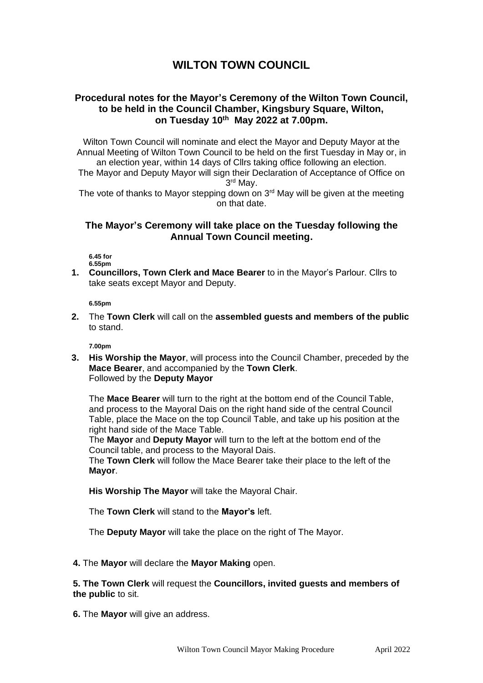# **WILTON TOWN COUNCIL**

## **Procedural notes for the Mayor's Ceremony of the Wilton Town Council, to be held in the Council Chamber, Kingsbury Square, Wilton, on Tuesday 10th May 2022 at 7.00pm.**

Wilton Town Council will nominate and elect the Mayor and Deputy Mayor at the Annual Meeting of Wilton Town Council to be held on the first Tuesday in May or, in an election year, within 14 days of Cllrs taking office following an election. The Mayor and Deputy Mayor will sign their Declaration of Acceptance of Office on 3 rd May.

The vote of thanks to Mavor stepping down on  $3<sup>rd</sup>$  May will be given at the meeting on that date.

### **The Mayor's Ceremony will take place on the Tuesday following the Annual Town Council meeting.**

**6.45 for 6.55pm**

**1. Councillors, Town Clerk and Mace Bearer** to in the Mayor's Parlour. Cllrs to take seats except Mayor and Deputy.

**6.55pm**

**2.** The **Town Clerk** will call on the **assembled guests and members of the public** to stand.

**7.00pm**

**3. His Worship the Mayor**, will process into the Council Chamber, preceded by the **Mace Bearer**, and accompanied by the **Town Clerk**. Followed by the **Deputy Mayor**

The **Mace Bearer** will turn to the right at the bottom end of the Council Table, and process to the Mayoral Dais on the right hand side of the central Council Table, place the Mace on the top Council Table, and take up his position at the right hand side of the Mace Table.

The **Mayor** and **Deputy Mayor** will turn to the left at the bottom end of the Council table, and process to the Mayoral Dais.

The **Town Clerk** will follow the Mace Bearer take their place to the left of the **Mayor**.

**His Worship The Mayor** will take the Mayoral Chair.

The **Town Clerk** will stand to the **Mayor's** left.

The **Deputy Mayor** will take the place on the right of The Mayor.

**4.** The **Mayor** will declare the **Mayor Making** open.

**5. The Town Clerk** will request the **Councillors, invited guests and members of the public** to sit.

**6.** The **Mayor** will give an address.